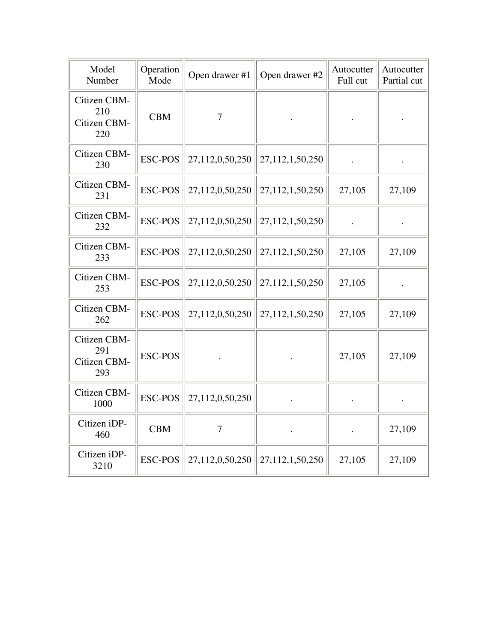| Model<br>Number                            | Operation<br>Mode | Open drawer #1  | Open drawer #2  | Autocutter<br>Full cut | Autocutter<br>Partial cut |
|--------------------------------------------|-------------------|-----------------|-----------------|------------------------|---------------------------|
| Citizen CBM-<br>210<br>Citizen CBM-<br>220 | <b>CBM</b>        | $\overline{7}$  |                 |                        |                           |
| Citizen CBM-<br>230                        | <b>ESC-POS</b>    | 27,112,0,50,250 | 27,112,1,50,250 |                        |                           |
| Citizen CBM-<br>231                        | <b>ESC-POS</b>    | 27,112,0,50,250 | 27,112,1,50,250 | 27,105                 | 27,109                    |
| Citizen CBM-<br>232                        | <b>ESC-POS</b>    | 27,112,0,50,250 | 27,112,1,50,250 |                        |                           |
| Citizen CBM-<br>233                        | <b>ESC-POS</b>    | 27,112,0,50,250 | 27,112,1,50,250 | 27,105                 | 27,109                    |
| Citizen CBM-<br>253                        | <b>ESC-POS</b>    | 27,112,0,50,250 | 27,112,1,50,250 | 27,105                 |                           |
| Citizen CBM-<br>262                        | <b>ESC-POS</b>    | 27,112,0,50,250 | 27,112,1,50,250 | 27,105                 | 27,109                    |
| Citizen CBM-<br>291<br>Citizen CBM-<br>293 | <b>ESC-POS</b>    |                 |                 | 27,105                 | 27,109                    |
| Citizen CBM-<br>1000                       | <b>ESC-POS</b>    | 27,112,0,50,250 |                 |                        |                           |
| Citizen iDP-<br>460                        | <b>CBM</b>        | $\overline{7}$  |                 |                        | 27,109                    |
| Citizen iDP-<br>3210                       | <b>ESC-POS</b>    | 27,112,0,50,250 | 27,112,1,50,250 | 27,105                 | 27,109                    |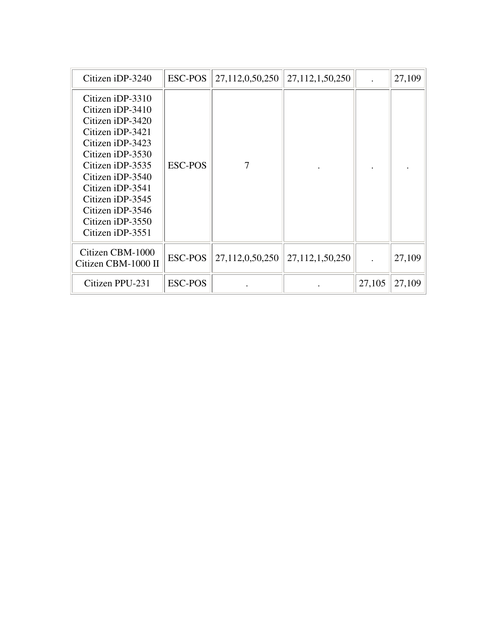| Citizen iDP-3240                                                                                                                                                                                                                                                 | <b>ESC-POS</b> | 27,112,0,50,250 | 27, 112, 1, 50, 250 |        | 27,109 |
|------------------------------------------------------------------------------------------------------------------------------------------------------------------------------------------------------------------------------------------------------------------|----------------|-----------------|---------------------|--------|--------|
| Citizen iDP-3310<br>Citizen iDP-3410<br>Citizen iDP-3420<br>Citizen iDP-3421<br>Citizen iDP-3423<br>Citizen iDP-3530<br>Citizen iDP-3535<br>Citizen iDP-3540<br>Citizen iDP-3541<br>Citizen iDP-3545<br>Citizen iDP-3546<br>Citizen iDP-3550<br>Citizen iDP-3551 | <b>ESC-POS</b> | 7               |                     |        |        |
| Citizen CBM-1000<br>Citizen CBM-1000 II                                                                                                                                                                                                                          | <b>ESC-POS</b> | 27,112,0,50,250 | 27,112,1,50,250     |        | 27,109 |
| Citizen PPU-231                                                                                                                                                                                                                                                  | <b>ESC-POS</b> |                 |                     | 27,105 | 27,109 |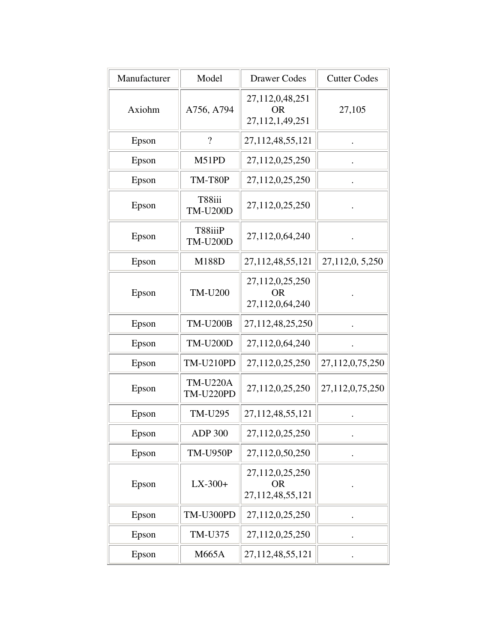| Manufacturer | Model                               | <b>Drawer Codes</b>                              | <b>Cutter Codes</b> |
|--------------|-------------------------------------|--------------------------------------------------|---------------------|
| Axiohm       | A756, A794                          | 27,112,0,48,251<br><b>OR</b><br>27,112,1,49,251  | 27,105              |
| Epson        | $\overline{\mathcal{L}}$            | 27, 112, 48, 55, 121                             |                     |
| Epson        | M51PD                               | 27,112,0,25,250                                  |                     |
| Epson        | TM-T80P                             | 27,112,0,25,250                                  |                     |
| Epson        | T88iii<br><b>TM-U200D</b>           | 27,112,0,25,250                                  |                     |
| Epson        | T88iiiP<br><b>TM-U200D</b>          | 27,112,0,64,240                                  |                     |
| Epson        | M188D                               | 27,112,48,55,121                                 | 27,112,0, 5,250     |
| Epson        | <b>TM-U200</b>                      | 27,112,0,25,250<br><b>OR</b><br>27,112,0,64,240  |                     |
| Epson        | <b>TM-U200B</b>                     | 27,112,48,25,250                                 |                     |
| Epson        | <b>TM-U200D</b>                     | 27,112,0,64,240                                  |                     |
| Epson        | <b>TM-U210PD</b>                    | 27,112,0,25,250                                  | 27,112,0,75,250     |
| Epson        | <b>TM-U220A</b><br><b>TM-U220PD</b> | 27,112,0,25,250                                  | 27,112,0,75,250     |
| Epson        | <b>TM-U295</b>                      | 27, 112, 48, 55, 121                             |                     |
| Epson        | <b>ADP 300</b>                      | 27,112,0,25,250                                  |                     |
| Epson        | <b>TM-U950P</b>                     | 27,112,0,50,250                                  |                     |
| Epson        | $LX-300+$                           | 27,112,0,25,250<br><b>OR</b><br>27,112,48,55,121 |                     |
| Epson        | TM-U300PD                           | 27,112,0,25,250                                  |                     |
| Epson        | TM-U375                             | 27,112,0,25,250                                  |                     |
| Epson        | M665A                               | 27, 112, 48, 55, 121                             |                     |